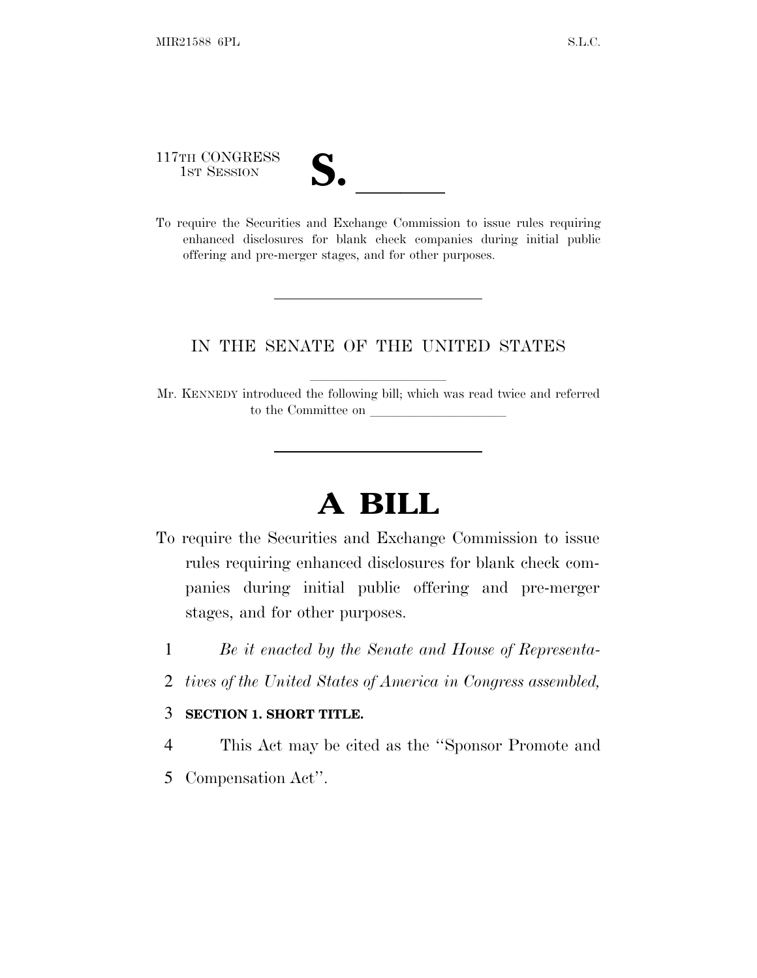117TH CONGRESS

| U<br>$\overline{\mathsf{v}}$ |  |
|------------------------------|--|
|                              |  |
|                              |  |

117TH CONGRESS<br>
1ST SESSION<br>
To require the Securities and Exchange Commission to issue rules requiring enhanced disclosures for blank check companies during initial public offering and pre-merger stages, and for other purposes.

## IN THE SENATE OF THE UNITED STATES

Mr. KENNEDY introduced the following bill; which was read twice and referred to the Committee on

## **A BILL**

- To require the Securities and Exchange Commission to issue rules requiring enhanced disclosures for blank check companies during initial public offering and pre-merger stages, and for other purposes.
	- 1 *Be it enacted by the Senate and House of Representa-*
	- 2 *tives of the United States of America in Congress assembled,*

## 3 **SECTION 1. SHORT TITLE.**

- 4 This Act may be cited as the ''Sponsor Promote and
- 5 Compensation Act''.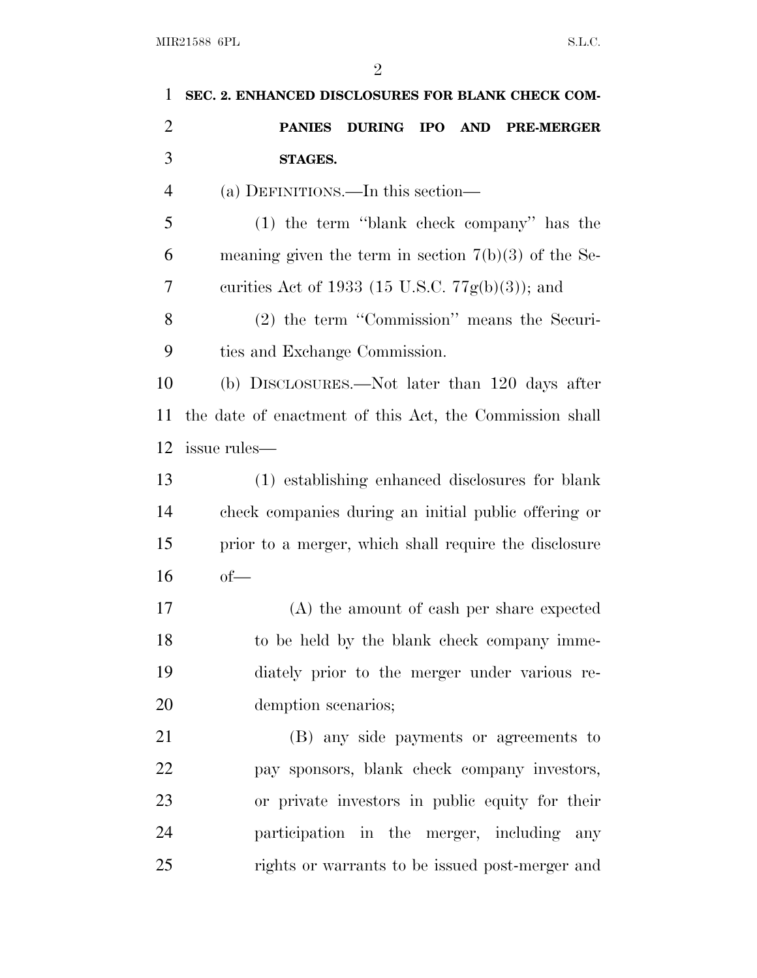| 1              | SEC. 2. ENHANCED DISCLOSURES FOR BLANK CHECK COM-       |
|----------------|---------------------------------------------------------|
| $\overline{2}$ | DURING IPO AND<br><b>PANIES</b><br><b>PRE-MERGER</b>    |
| 3              | STAGES.                                                 |
| 4              | (a) DEFINITIONS.—In this section—                       |
| 5              | (1) the term "blank check company" has the              |
| 6              | meaning given the term in section $7(b)(3)$ of the Se-  |
| 7              | curities Act of 1933 (15 U.S.C. $77g(b)(3)$ ); and      |
| 8              | (2) the term "Commission" means the Securi-             |
| 9              | ties and Exchange Commission.                           |
| 10             | (b) DISCLOSURES.—Not later than 120 days after          |
| 11             | the date of enactment of this Act, the Commission shall |
| 12             | issue rules—                                            |
| 13             | (1) establishing enhanced disclosures for blank         |
| 14             | check companies during an initial public offering or    |
| 15             | prior to a merger, which shall require the disclosure   |
| 16             | $of$ —                                                  |
| 17             | (A) the amount of eash per share expected               |
| 18             | to be held by the blank check company imme-             |
| 19             | diately prior to the merger under various re-           |
| 20             | demption scenarios;                                     |
| 21             | (B) any side payments or agreements to                  |
| 22             | pay sponsors, blank check company investors,            |
| 23             | or private investors in public equity for their         |
| 24             | participation in the merger, including any              |
| 25             | rights or warrants to be issued post-merger and         |